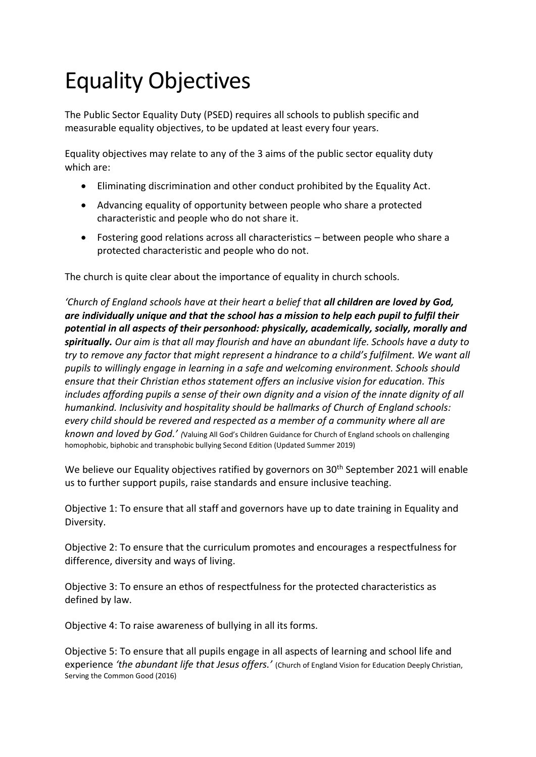## Equality Objectives

The Public Sector Equality Duty (PSED) requires all schools to publish specific and measurable equality objectives, to be updated at least every four years.

Equality objectives may relate to any of the 3 aims of the public sector equality duty which are:

- Eliminating discrimination and other conduct prohibited by the Equality Act.
- Advancing equality of opportunity between people who share a protected characteristic and people who do not share it.
- Fostering good relations across all characteristics between people who share a protected characteristic and people who do not.

The church is quite clear about the importance of equality in church schools.

*'Church of England schools have at their heart a belief that all children are loved by God, are individually unique and that the school has a mission to help each pupil to fulfil their potential in all aspects of their personhood: physically, academically, socially, morally and spiritually. Our aim is that all may flourish and have an abundant life. Schools have a duty to try to remove any factor that might represent a hindrance to a child's fulfilment. We want all pupils to willingly engage in learning in a safe and welcoming environment. Schools should ensure that their Christian ethos statement offers an inclusive vision for education. This includes affording pupils a sense of their own dignity and a vision of the innate dignity of all humankind. Inclusivity and hospitality should be hallmarks of Church of England schools: every child should be revered and respected as a member of a community where all are known and loved by God.' (*Valuing All God's Children Guidance for Church of England schools on challenging homophobic, biphobic and transphobic bullying Second Edition (Updated Summer 2019)

We believe our Equality objectives ratified by governors on 30<sup>th</sup> September 2021 will enable us to further support pupils, raise standards and ensure inclusive teaching.

Objective 1: To ensure that all staff and governors have up to date training in Equality and Diversity.

Objective 2: To ensure that the curriculum promotes and encourages a respectfulness for difference, diversity and ways of living.

Objective 3: To ensure an ethos of respectfulness for the protected characteristics as defined by law.

Objective 4: To raise awareness of bullying in all its forms.

Objective 5: To ensure that all pupils engage in all aspects of learning and school life and experience *'the abundant life that Jesus offers.'* (Church of England Vision for Education Deeply Christian, Serving the Common Good (2016)